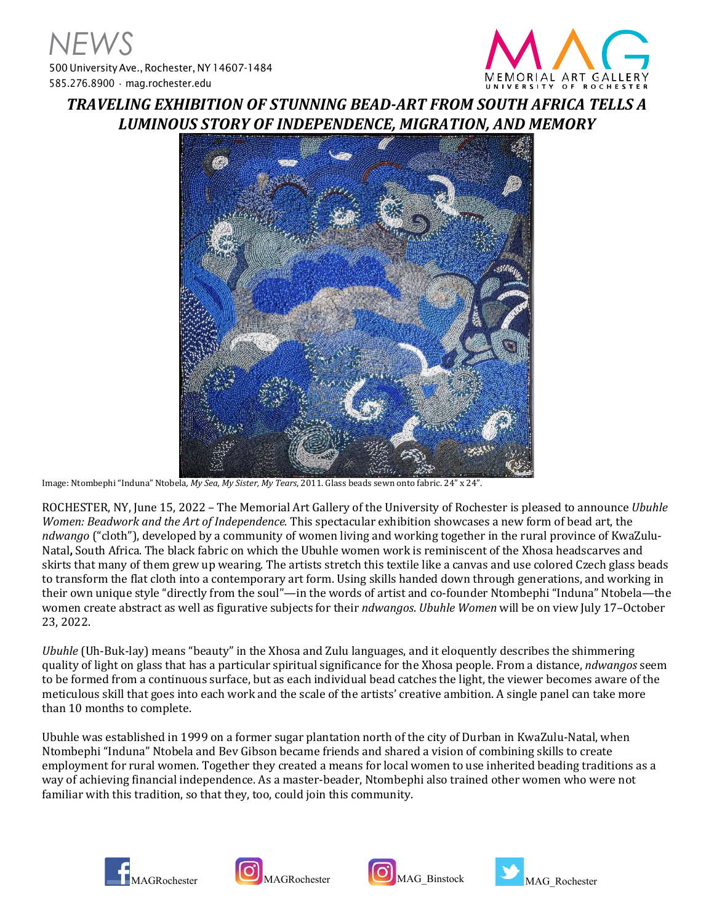

## *TRAVELING EXHIBITION OF STUNNING BEAD-ART FROM SOUTH AFRICA TELLS A LUMINOUS STORY OF INDEPENDENCE, MIGRATION, AND MEMORY*



Image: Ntombephi "Induna" Ntobela*, My Sea, My Sister, My Tears*, 2011. Glass beads sewn onto fabric. 24" x 24".

ROCHESTER, NY, June 15, 2022 – The Memorial Art Gallery of the University of Rochester is pleased to announce *Ubuhle Women: Beadwork and the Art of Independence.* This spectacular exhibition showcases a new form of bead art, the *ndwango* ("cloth"), developed by a community of women living and working together in the rural province of KwaZulu-Natal**,** South Africa. The black fabric on which the Ubuhle women work is reminiscent of the Xhosa headscarves and skirts that many of them grew up wearing. The artists stretch this textile like a canvas and use colored Czech glass beads to transform the flat cloth into a contemporary art form. Using skills handed down through generations, and working in their own unique style "directly from the soul"—in the words of artist and co-founder Ntombephi "Induna" Ntobela—the women create abstract as well as figurative subjects for their *ndwangos*. *Ubuhle Women* will be on view July 17–October 23, 2022.

*Ubuhle* (Uh-Buk-lay) means "beauty" in the Xhosa and Zulu languages, and it eloquently describes the shimmering quality of light on glass that has a particular spiritual significance for the Xhosa people. From a distance, *ndwangos* seem to be formed from a continuous surface, but as each individual bead catches the light, the viewer becomes aware of the meticulous skill that goes into each work and the scale of the artists' creative ambition. A single panel can take more than 10 months to complete.

Ubuhle was established in 1999 on a former sugar plantation north of the city of Durban in KwaZulu-Natal, when Ntombephi "Induna" Ntobela and Bev Gibson became friends and shared a vision of combining skills to create employment for rural women. Together they created a means for local women to use inherited beading traditions as a way of achieving financial independence. As a master-beader, Ntombephi also trained other women who were not familiar with this tradition, so that they, too, could join this community.